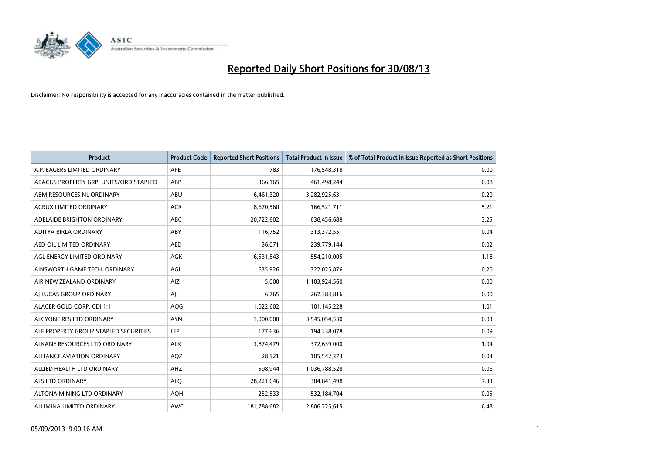

| <b>Product</b>                         | <b>Product Code</b> | <b>Reported Short Positions</b> | <b>Total Product in Issue</b> | % of Total Product in Issue Reported as Short Positions |
|----------------------------------------|---------------------|---------------------------------|-------------------------------|---------------------------------------------------------|
| A.P. EAGERS LIMITED ORDINARY           | APE                 | 783                             | 176,548,318                   | 0.00                                                    |
| ABACUS PROPERTY GRP. UNITS/ORD STAPLED | ABP                 | 366,165                         | 461,498,244                   | 0.08                                                    |
| ABM RESOURCES NL ORDINARY              | ABU                 | 6,461,320                       | 3,282,925,631                 | 0.20                                                    |
| ACRUX LIMITED ORDINARY                 | <b>ACR</b>          | 8,670,560                       | 166,521,711                   | 5.21                                                    |
| ADELAIDE BRIGHTON ORDINARY             | <b>ABC</b>          | 20,722,602                      | 638,456,688                   | 3.25                                                    |
| ADITYA BIRLA ORDINARY                  | ABY                 | 116,752                         | 313,372,551                   | 0.04                                                    |
| AED OIL LIMITED ORDINARY               | <b>AED</b>          | 36,071                          | 239,779,144                   | 0.02                                                    |
| AGL ENERGY LIMITED ORDINARY            | AGK                 | 6,531,543                       | 554,210,005                   | 1.18                                                    |
| AINSWORTH GAME TECH. ORDINARY          | AGI                 | 635,926                         | 322,025,876                   | 0.20                                                    |
| AIR NEW ZEALAND ORDINARY               | AIZ                 | 5,000                           | 1,103,924,560                 | 0.00                                                    |
| AI LUCAS GROUP ORDINARY                | AJL                 | 6,765                           | 267,383,816                   | 0.00                                                    |
| ALACER GOLD CORP. CDI 1:1              | AQG                 | 1,022,602                       | 101,145,228                   | 1.01                                                    |
| ALCYONE RES LTD ORDINARY               | <b>AYN</b>          | 1,000,000                       | 3,545,054,530                 | 0.03                                                    |
| ALE PROPERTY GROUP STAPLED SECURITIES  | LEP                 | 177,636                         | 194,238,078                   | 0.09                                                    |
| ALKANE RESOURCES LTD ORDINARY          | <b>ALK</b>          | 3,874,479                       | 372,639,000                   | 1.04                                                    |
| ALLIANCE AVIATION ORDINARY             | <b>AQZ</b>          | 28,521                          | 105,542,373                   | 0.03                                                    |
| ALLIED HEALTH LTD ORDINARY             | AHZ                 | 598,944                         | 1,036,788,528                 | 0.06                                                    |
| <b>ALS LTD ORDINARY</b>                | <b>ALQ</b>          | 28,221,646                      | 384,841,498                   | 7.33                                                    |
| ALTONA MINING LTD ORDINARY             | <b>AOH</b>          | 252,533                         | 532,184,704                   | 0.05                                                    |
| ALUMINA LIMITED ORDINARY               | <b>AWC</b>          | 181,788,682                     | 2,806,225,615                 | 6.48                                                    |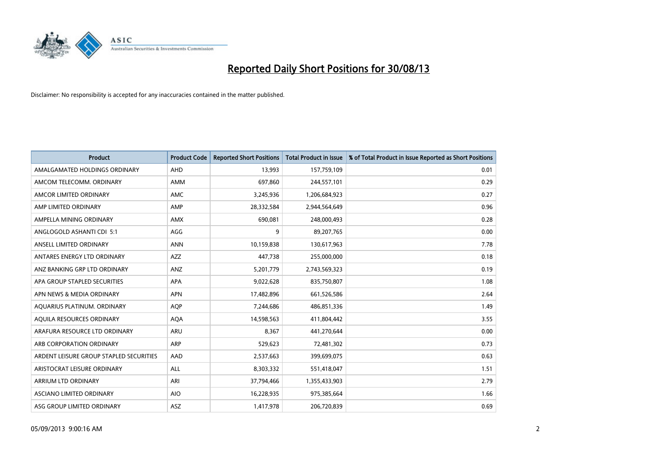

| <b>Product</b>                          | <b>Product Code</b> | <b>Reported Short Positions</b> | <b>Total Product in Issue</b> | % of Total Product in Issue Reported as Short Positions |
|-----------------------------------------|---------------------|---------------------------------|-------------------------------|---------------------------------------------------------|
| AMALGAMATED HOLDINGS ORDINARY           | AHD                 | 13,993                          | 157,759,109                   | 0.01                                                    |
| AMCOM TELECOMM. ORDINARY                | <b>AMM</b>          | 697,860                         | 244,557,101                   | 0.29                                                    |
| AMCOR LIMITED ORDINARY                  | AMC                 | 3,245,936                       | 1,206,684,923                 | 0.27                                                    |
| AMP LIMITED ORDINARY                    | AMP                 | 28,332,584                      | 2,944,564,649                 | 0.96                                                    |
| AMPELLA MINING ORDINARY                 | <b>AMX</b>          | 690,081                         | 248,000,493                   | 0.28                                                    |
| ANGLOGOLD ASHANTI CDI 5:1               | AGG                 | 9                               | 89,207,765                    | 0.00                                                    |
| ANSELL LIMITED ORDINARY                 | <b>ANN</b>          | 10,159,838                      | 130,617,963                   | 7.78                                                    |
| ANTARES ENERGY LTD ORDINARY             | <b>AZZ</b>          | 447,738                         | 255,000,000                   | 0.18                                                    |
| ANZ BANKING GRP LTD ORDINARY            | ANZ                 | 5,201,779                       | 2,743,569,323                 | 0.19                                                    |
| APA GROUP STAPLED SECURITIES            | <b>APA</b>          | 9,022,628                       | 835,750,807                   | 1.08                                                    |
| APN NEWS & MEDIA ORDINARY               | <b>APN</b>          | 17,482,896                      | 661,526,586                   | 2.64                                                    |
| AQUARIUS PLATINUM. ORDINARY             | <b>AOP</b>          | 7,244,686                       | 486,851,336                   | 1.49                                                    |
| AQUILA RESOURCES ORDINARY               | <b>AQA</b>          | 14,598,563                      | 411,804,442                   | 3.55                                                    |
| ARAFURA RESOURCE LTD ORDINARY           | ARU                 | 8,367                           | 441,270,644                   | 0.00                                                    |
| ARB CORPORATION ORDINARY                | ARP                 | 529,623                         | 72,481,302                    | 0.73                                                    |
| ARDENT LEISURE GROUP STAPLED SECURITIES | AAD                 | 2,537,663                       | 399,699,075                   | 0.63                                                    |
| ARISTOCRAT LEISURE ORDINARY             | <b>ALL</b>          | 8,303,332                       | 551,418,047                   | 1.51                                                    |
| <b>ARRIUM LTD ORDINARY</b>              | ARI                 | 37,794,466                      | 1,355,433,903                 | 2.79                                                    |
| <b>ASCIANO LIMITED ORDINARY</b>         | <b>AIO</b>          | 16,228,935                      | 975,385,664                   | 1.66                                                    |
| ASG GROUP LIMITED ORDINARY              | <b>ASZ</b>          | 1,417,978                       | 206,720,839                   | 0.69                                                    |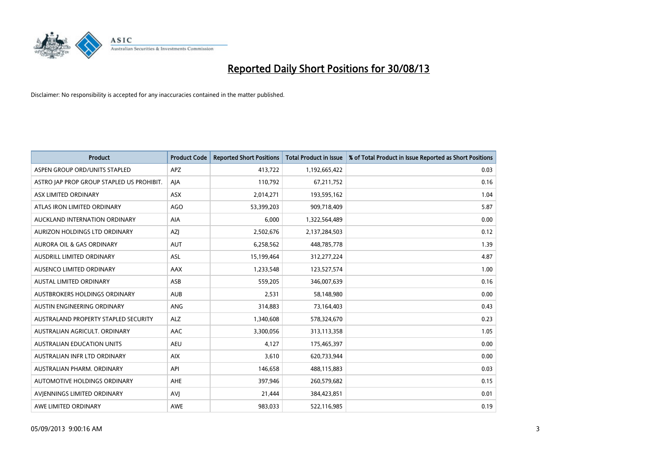

| <b>Product</b>                            | <b>Product Code</b> | <b>Reported Short Positions</b> | Total Product in Issue | % of Total Product in Issue Reported as Short Positions |
|-------------------------------------------|---------------------|---------------------------------|------------------------|---------------------------------------------------------|
| ASPEN GROUP ORD/UNITS STAPLED             | <b>APZ</b>          | 413,722                         | 1,192,665,422          | 0.03                                                    |
| ASTRO JAP PROP GROUP STAPLED US PROHIBIT. | AIA                 | 110,792                         | 67,211,752             | 0.16                                                    |
| ASX LIMITED ORDINARY                      | <b>ASX</b>          | 2,014,271                       | 193,595,162            | 1.04                                                    |
| ATLAS IRON LIMITED ORDINARY               | <b>AGO</b>          | 53,399,203                      | 909,718,409            | 5.87                                                    |
| AUCKLAND INTERNATION ORDINARY             | AIA                 | 6.000                           | 1,322,564,489          | 0.00                                                    |
| <b>AURIZON HOLDINGS LTD ORDINARY</b>      | AZJ                 | 2,502,676                       | 2,137,284,503          | 0.12                                                    |
| <b>AURORA OIL &amp; GAS ORDINARY</b>      | <b>AUT</b>          | 6,258,562                       | 448,785,778            | 1.39                                                    |
| <b>AUSDRILL LIMITED ORDINARY</b>          | <b>ASL</b>          | 15,199,464                      | 312,277,224            | 4.87                                                    |
| AUSENCO LIMITED ORDINARY                  | AAX                 | 1,233,548                       | 123,527,574            | 1.00                                                    |
| <b>AUSTAL LIMITED ORDINARY</b>            | ASB                 | 559,205                         | 346,007,639            | 0.16                                                    |
| AUSTBROKERS HOLDINGS ORDINARY             | <b>AUB</b>          | 2,531                           | 58,148,980             | 0.00                                                    |
| AUSTIN ENGINEERING ORDINARY               | ANG                 | 314,883                         | 73,164,403             | 0.43                                                    |
| AUSTRALAND PROPERTY STAPLED SECURITY      | <b>ALZ</b>          | 1,340,608                       | 578,324,670            | 0.23                                                    |
| AUSTRALIAN AGRICULT, ORDINARY             | AAC                 | 3,300,056                       | 313,113,358            | 1.05                                                    |
| <b>AUSTRALIAN EDUCATION UNITS</b>         | <b>AEU</b>          | 4.127                           | 175,465,397            | 0.00                                                    |
| AUSTRALIAN INFR LTD ORDINARY              | <b>AIX</b>          | 3,610                           | 620,733,944            | 0.00                                                    |
| AUSTRALIAN PHARM, ORDINARY                | API                 | 146,658                         | 488,115,883            | 0.03                                                    |
| AUTOMOTIVE HOLDINGS ORDINARY              | AHE                 | 397,946                         | 260,579,682            | 0.15                                                    |
| AVIENNINGS LIMITED ORDINARY               | <b>AVI</b>          | 21,444                          | 384,423,851            | 0.01                                                    |
| AWE LIMITED ORDINARY                      | AWE                 | 983.033                         | 522,116,985            | 0.19                                                    |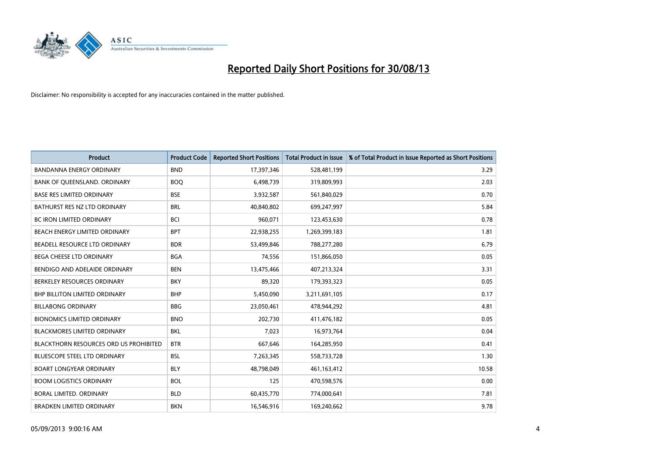

| <b>Product</b>                                | <b>Product Code</b> | <b>Reported Short Positions</b> | <b>Total Product in Issue</b> | % of Total Product in Issue Reported as Short Positions |
|-----------------------------------------------|---------------------|---------------------------------|-------------------------------|---------------------------------------------------------|
| <b>BANDANNA ENERGY ORDINARY</b>               | <b>BND</b>          | 17,397,346                      | 528,481,199                   | 3.29                                                    |
| BANK OF QUEENSLAND. ORDINARY                  | <b>BOQ</b>          | 6,498,739                       | 319,809,993                   | 2.03                                                    |
| <b>BASE RES LIMITED ORDINARY</b>              | <b>BSE</b>          | 3,932,587                       | 561,840,029                   | 0.70                                                    |
| BATHURST RES NZ LTD ORDINARY                  | <b>BRL</b>          | 40,840,802                      | 699,247,997                   | 5.84                                                    |
| <b>BC IRON LIMITED ORDINARY</b>               | <b>BCI</b>          | 960,071                         | 123,453,630                   | 0.78                                                    |
| BEACH ENERGY LIMITED ORDINARY                 | <b>BPT</b>          | 22,938,255                      | 1,269,399,183                 | 1.81                                                    |
| BEADELL RESOURCE LTD ORDINARY                 | <b>BDR</b>          | 53,499,846                      | 788,277,280                   | 6.79                                                    |
| <b>BEGA CHEESE LTD ORDINARY</b>               | <b>BGA</b>          | 74,556                          | 151,866,050                   | 0.05                                                    |
| BENDIGO AND ADELAIDE ORDINARY                 | <b>BEN</b>          | 13,475,466                      | 407,213,324                   | 3.31                                                    |
| BERKELEY RESOURCES ORDINARY                   | <b>BKY</b>          | 89,320                          | 179,393,323                   | 0.05                                                    |
| <b>BHP BILLITON LIMITED ORDINARY</b>          | <b>BHP</b>          | 5,450,090                       | 3,211,691,105                 | 0.17                                                    |
| <b>BILLABONG ORDINARY</b>                     | <b>BBG</b>          | 23,050,461                      | 478,944,292                   | 4.81                                                    |
| <b>BIONOMICS LIMITED ORDINARY</b>             | <b>BNO</b>          | 202,730                         | 411,476,182                   | 0.05                                                    |
| <b>BLACKMORES LIMITED ORDINARY</b>            | <b>BKL</b>          | 7,023                           | 16,973,764                    | 0.04                                                    |
| <b>BLACKTHORN RESOURCES ORD US PROHIBITED</b> | <b>BTR</b>          | 667,646                         | 164,285,950                   | 0.41                                                    |
| <b>BLUESCOPE STEEL LTD ORDINARY</b>           | <b>BSL</b>          | 7,263,345                       | 558,733,728                   | 1.30                                                    |
| <b>BOART LONGYEAR ORDINARY</b>                | <b>BLY</b>          | 48,798,049                      | 461, 163, 412                 | 10.58                                                   |
| <b>BOOM LOGISTICS ORDINARY</b>                | <b>BOL</b>          | 125                             | 470,598,576                   | 0.00                                                    |
| <b>BORAL LIMITED, ORDINARY</b>                | <b>BLD</b>          | 60,435,770                      | 774,000,641                   | 7.81                                                    |
| <b>BRADKEN LIMITED ORDINARY</b>               | <b>BKN</b>          | 16,546,916                      | 169,240,662                   | 9.78                                                    |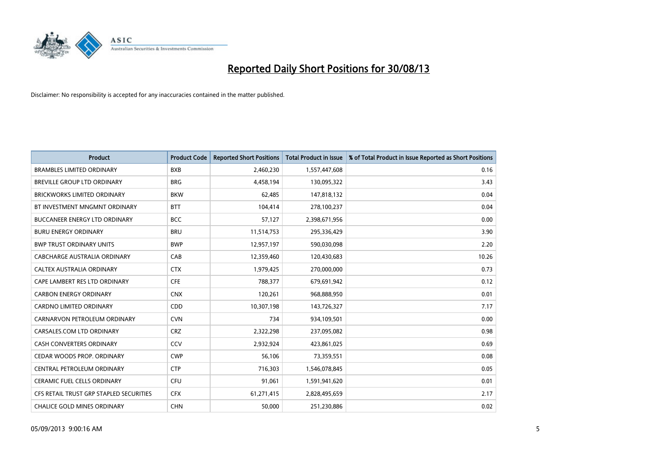

| <b>Product</b>                          | <b>Product Code</b> | <b>Reported Short Positions</b> | <b>Total Product in Issue</b> | % of Total Product in Issue Reported as Short Positions |
|-----------------------------------------|---------------------|---------------------------------|-------------------------------|---------------------------------------------------------|
| <b>BRAMBLES LIMITED ORDINARY</b>        | <b>BXB</b>          | 2,460,230                       | 1,557,447,608                 | 0.16                                                    |
| BREVILLE GROUP LTD ORDINARY             | <b>BRG</b>          | 4,458,194                       | 130,095,322                   | 3.43                                                    |
| <b>BRICKWORKS LIMITED ORDINARY</b>      | <b>BKW</b>          | 62,485                          | 147,818,132                   | 0.04                                                    |
| BT INVESTMENT MNGMNT ORDINARY           | <b>BTT</b>          | 104,414                         | 278,100,237                   | 0.04                                                    |
| <b>BUCCANEER ENERGY LTD ORDINARY</b>    | <b>BCC</b>          | 57,127                          | 2,398,671,956                 | 0.00                                                    |
| <b>BURU ENERGY ORDINARY</b>             | <b>BRU</b>          | 11,514,753                      | 295,336,429                   | 3.90                                                    |
| <b>BWP TRUST ORDINARY UNITS</b>         | <b>BWP</b>          | 12,957,197                      | 590,030,098                   | 2.20                                                    |
| CABCHARGE AUSTRALIA ORDINARY            | CAB                 | 12,359,460                      | 120,430,683                   | 10.26                                                   |
| CALTEX AUSTRALIA ORDINARY               | <b>CTX</b>          | 1,979,425                       | 270,000,000                   | 0.73                                                    |
| CAPE LAMBERT RES LTD ORDINARY           | <b>CFE</b>          | 788,377                         | 679,691,942                   | 0.12                                                    |
| <b>CARBON ENERGY ORDINARY</b>           | <b>CNX</b>          | 120,261                         | 968,888,950                   | 0.01                                                    |
| <b>CARDNO LIMITED ORDINARY</b>          | CDD                 | 10,307,198                      | 143,726,327                   | 7.17                                                    |
| CARNARVON PETROLEUM ORDINARY            | <b>CVN</b>          | 734                             | 934,109,501                   | 0.00                                                    |
| CARSALES.COM LTD ORDINARY               | <b>CRZ</b>          | 2,322,298                       | 237,095,082                   | 0.98                                                    |
| <b>CASH CONVERTERS ORDINARY</b>         | CCV                 | 2,932,924                       | 423,861,025                   | 0.69                                                    |
| CEDAR WOODS PROP. ORDINARY              | <b>CWP</b>          | 56,106                          | 73,359,551                    | 0.08                                                    |
| CENTRAL PETROLEUM ORDINARY              | <b>CTP</b>          | 716,303                         | 1,546,078,845                 | 0.05                                                    |
| CERAMIC FUEL CELLS ORDINARY             | <b>CFU</b>          | 91,061                          | 1,591,941,620                 | 0.01                                                    |
| CFS RETAIL TRUST GRP STAPLED SECURITIES | <b>CFX</b>          | 61,271,415                      | 2,828,495,659                 | 2.17                                                    |
| CHALICE GOLD MINES ORDINARY             | <b>CHN</b>          | 50,000                          | 251,230,886                   | 0.02                                                    |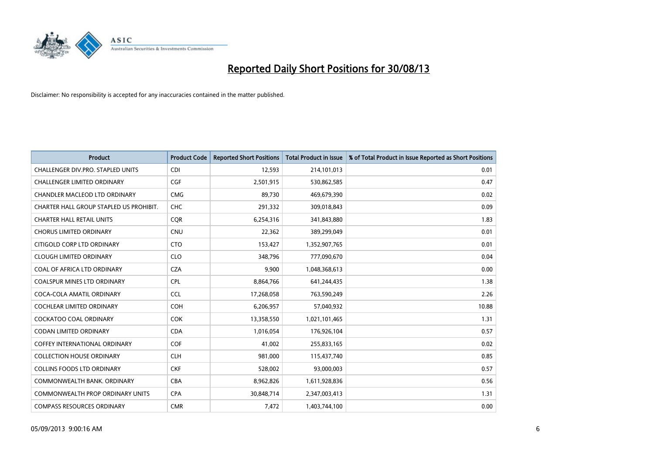

| <b>Product</b>                          | <b>Product Code</b> | <b>Reported Short Positions</b> | <b>Total Product in Issue</b> | % of Total Product in Issue Reported as Short Positions |
|-----------------------------------------|---------------------|---------------------------------|-------------------------------|---------------------------------------------------------|
| CHALLENGER DIV.PRO. STAPLED UNITS       | <b>CDI</b>          | 12,593                          | 214,101,013                   | 0.01                                                    |
| CHALLENGER LIMITED ORDINARY             | <b>CGF</b>          | 2,501,915                       | 530,862,585                   | 0.47                                                    |
| CHANDLER MACLEOD LTD ORDINARY           | <b>CMG</b>          | 89,730                          | 469,679,390                   | 0.02                                                    |
| CHARTER HALL GROUP STAPLED US PROHIBIT. | <b>CHC</b>          | 291,332                         | 309,018,843                   | 0.09                                                    |
| <b>CHARTER HALL RETAIL UNITS</b>        | <b>COR</b>          | 6,254,316                       | 341,843,880                   | 1.83                                                    |
| <b>CHORUS LIMITED ORDINARY</b>          | <b>CNU</b>          | 22,362                          | 389,299,049                   | 0.01                                                    |
| CITIGOLD CORP LTD ORDINARY              | <b>CTO</b>          | 153,427                         | 1,352,907,765                 | 0.01                                                    |
| <b>CLOUGH LIMITED ORDINARY</b>          | <b>CLO</b>          | 348,796                         | 777,090,670                   | 0.04                                                    |
| COAL OF AFRICA LTD ORDINARY             | <b>CZA</b>          | 9,900                           | 1,048,368,613                 | 0.00                                                    |
| <b>COALSPUR MINES LTD ORDINARY</b>      | <b>CPL</b>          | 8,864,766                       | 641,244,435                   | 1.38                                                    |
| COCA-COLA AMATIL ORDINARY               | <b>CCL</b>          | 17,268,058                      | 763,590,249                   | 2.26                                                    |
| COCHLEAR LIMITED ORDINARY               | <b>COH</b>          | 6,206,957                       | 57,040,932                    | 10.88                                                   |
| <b>COCKATOO COAL ORDINARY</b>           | <b>COK</b>          | 13,358,550                      | 1,021,101,465                 | 1.31                                                    |
| <b>CODAN LIMITED ORDINARY</b>           | <b>CDA</b>          | 1,016,054                       | 176,926,104                   | 0.57                                                    |
| <b>COFFEY INTERNATIONAL ORDINARY</b>    | <b>COF</b>          | 41,002                          | 255,833,165                   | 0.02                                                    |
| <b>COLLECTION HOUSE ORDINARY</b>        | <b>CLH</b>          | 981,000                         | 115,437,740                   | 0.85                                                    |
| <b>COLLINS FOODS LTD ORDINARY</b>       | <b>CKF</b>          | 528,002                         | 93,000,003                    | 0.57                                                    |
| COMMONWEALTH BANK, ORDINARY             | <b>CBA</b>          | 8,962,826                       | 1,611,928,836                 | 0.56                                                    |
| <b>COMMONWEALTH PROP ORDINARY UNITS</b> | <b>CPA</b>          | 30,848,714                      | 2,347,003,413                 | 1.31                                                    |
| <b>COMPASS RESOURCES ORDINARY</b>       | <b>CMR</b>          | 7,472                           | 1,403,744,100                 | 0.00                                                    |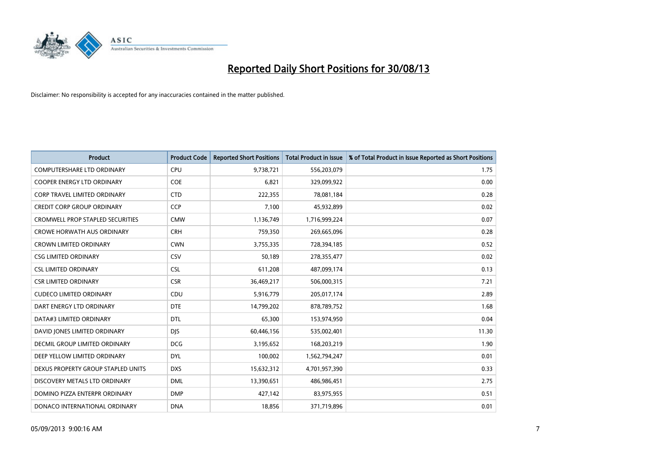

| <b>Product</b>                          | <b>Product Code</b> | <b>Reported Short Positions</b> | <b>Total Product in Issue</b> | % of Total Product in Issue Reported as Short Positions |
|-----------------------------------------|---------------------|---------------------------------|-------------------------------|---------------------------------------------------------|
| <b>COMPUTERSHARE LTD ORDINARY</b>       | <b>CPU</b>          | 9,738,721                       | 556,203,079                   | 1.75                                                    |
| COOPER ENERGY LTD ORDINARY              | <b>COE</b>          | 6,821                           | 329,099,922                   | 0.00                                                    |
| <b>CORP TRAVEL LIMITED ORDINARY</b>     | <b>CTD</b>          | 222,355                         | 78,081,184                    | 0.28                                                    |
| CREDIT CORP GROUP ORDINARY              | <b>CCP</b>          | 7,100                           | 45,932,899                    | 0.02                                                    |
| <b>CROMWELL PROP STAPLED SECURITIES</b> | <b>CMW</b>          | 1,136,749                       | 1,716,999,224                 | 0.07                                                    |
| <b>CROWE HORWATH AUS ORDINARY</b>       | <b>CRH</b>          | 759,350                         | 269,665,096                   | 0.28                                                    |
| <b>CROWN LIMITED ORDINARY</b>           | <b>CWN</b>          | 3,755,335                       | 728,394,185                   | 0.52                                                    |
| <b>CSG LIMITED ORDINARY</b>             | CSV                 | 50,189                          | 278,355,477                   | 0.02                                                    |
| <b>CSL LIMITED ORDINARY</b>             | <b>CSL</b>          | 611,208                         | 487,099,174                   | 0.13                                                    |
| <b>CSR LIMITED ORDINARY</b>             | <b>CSR</b>          | 36,469,217                      | 506,000,315                   | 7.21                                                    |
| <b>CUDECO LIMITED ORDINARY</b>          | CDU                 | 5,916,779                       | 205,017,174                   | 2.89                                                    |
| DART ENERGY LTD ORDINARY                | <b>DTE</b>          | 14,799,202                      | 878,789,752                   | 1.68                                                    |
| DATA#3 LIMITED ORDINARY                 | <b>DTL</b>          | 65,300                          | 153,974,950                   | 0.04                                                    |
| DAVID JONES LIMITED ORDINARY            | <b>DIS</b>          | 60,446,156                      | 535,002,401                   | 11.30                                                   |
| DECMIL GROUP LIMITED ORDINARY           | <b>DCG</b>          | 3,195,652                       | 168,203,219                   | 1.90                                                    |
| DEEP YELLOW LIMITED ORDINARY            | <b>DYL</b>          | 100,002                         | 1,562,794,247                 | 0.01                                                    |
| DEXUS PROPERTY GROUP STAPLED UNITS      | <b>DXS</b>          | 15,632,312                      | 4,701,957,390                 | 0.33                                                    |
| DISCOVERY METALS LTD ORDINARY           | <b>DML</b>          | 13,390,651                      | 486,986,451                   | 2.75                                                    |
| DOMINO PIZZA ENTERPR ORDINARY           | <b>DMP</b>          | 427,142                         | 83,975,955                    | 0.51                                                    |
| DONACO INTERNATIONAL ORDINARY           | <b>DNA</b>          | 18,856                          | 371,719,896                   | 0.01                                                    |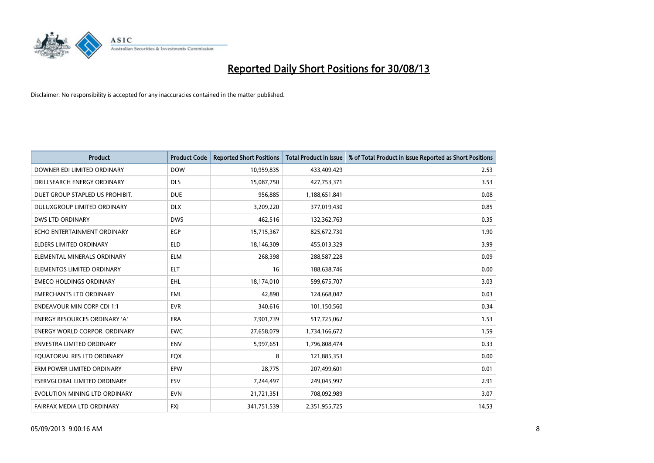

| <b>Product</b>                       | <b>Product Code</b> | <b>Reported Short Positions</b> | <b>Total Product in Issue</b> | % of Total Product in Issue Reported as Short Positions |
|--------------------------------------|---------------------|---------------------------------|-------------------------------|---------------------------------------------------------|
| DOWNER EDI LIMITED ORDINARY          | <b>DOW</b>          | 10,959,835                      | 433,409,429                   | 2.53                                                    |
| DRILLSEARCH ENERGY ORDINARY          | <b>DLS</b>          | 15,087,750                      | 427,753,371                   | 3.53                                                    |
| DUET GROUP STAPLED US PROHIBIT.      | <b>DUE</b>          | 956,885                         | 1,188,651,841                 | 0.08                                                    |
| DULUXGROUP LIMITED ORDINARY          | <b>DLX</b>          | 3,209,220                       | 377,019,430                   | 0.85                                                    |
| <b>DWS LTD ORDINARY</b>              | <b>DWS</b>          | 462,516                         | 132,362,763                   | 0.35                                                    |
| ECHO ENTERTAINMENT ORDINARY          | EGP                 | 15,715,367                      | 825,672,730                   | 1.90                                                    |
| <b>ELDERS LIMITED ORDINARY</b>       | <b>ELD</b>          | 18,146,309                      | 455,013,329                   | 3.99                                                    |
| ELEMENTAL MINERALS ORDINARY          | <b>ELM</b>          | 268,398                         | 288,587,228                   | 0.09                                                    |
| ELEMENTOS LIMITED ORDINARY           | <b>ELT</b>          | 16                              | 188,638,746                   | 0.00                                                    |
| <b>EMECO HOLDINGS ORDINARY</b>       | <b>EHL</b>          | 18,174,010                      | 599,675,707                   | 3.03                                                    |
| <b>EMERCHANTS LTD ORDINARY</b>       | <b>EML</b>          | 42,890                          | 124,668,047                   | 0.03                                                    |
| <b>ENDEAVOUR MIN CORP CDI 1:1</b>    | <b>EVR</b>          | 340,616                         | 101,150,560                   | 0.34                                                    |
| ENERGY RESOURCES ORDINARY 'A'        | <b>ERA</b>          | 7,901,739                       | 517,725,062                   | 1.53                                                    |
| <b>ENERGY WORLD CORPOR, ORDINARY</b> | <b>EWC</b>          | 27,658,079                      | 1,734,166,672                 | 1.59                                                    |
| <b>ENVESTRA LIMITED ORDINARY</b>     | <b>ENV</b>          | 5,997,651                       | 1,796,808,474                 | 0.33                                                    |
| EQUATORIAL RES LTD ORDINARY          | EQX                 | 8                               | 121,885,353                   | 0.00                                                    |
| ERM POWER LIMITED ORDINARY           | EPW                 | 28,775                          | 207,499,601                   | 0.01                                                    |
| ESERVGLOBAL LIMITED ORDINARY         | ESV                 | 7,244,497                       | 249,045,997                   | 2.91                                                    |
| EVOLUTION MINING LTD ORDINARY        | <b>EVN</b>          | 21,721,351                      | 708,092,989                   | 3.07                                                    |
| FAIRFAX MEDIA LTD ORDINARY           | <b>FXI</b>          | 341,751,539                     | 2,351,955,725                 | 14.53                                                   |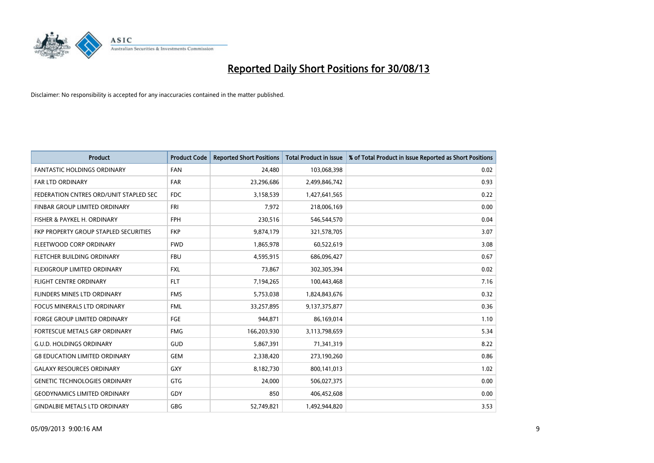

| <b>Product</b>                         | <b>Product Code</b> | <b>Reported Short Positions</b> | <b>Total Product in Issue</b> | % of Total Product in Issue Reported as Short Positions |
|----------------------------------------|---------------------|---------------------------------|-------------------------------|---------------------------------------------------------|
| <b>FANTASTIC HOLDINGS ORDINARY</b>     | <b>FAN</b>          | 24,480                          | 103,068,398                   | 0.02                                                    |
| FAR LTD ORDINARY                       | <b>FAR</b>          | 23,296,686                      | 2,499,846,742                 | 0.93                                                    |
| FEDERATION CNTRES ORD/UNIT STAPLED SEC | <b>FDC</b>          | 3,158,539                       | 1,427,641,565                 | 0.22                                                    |
| FINBAR GROUP LIMITED ORDINARY          | <b>FRI</b>          | 7,972                           | 218,006,169                   | 0.00                                                    |
| FISHER & PAYKEL H. ORDINARY            | <b>FPH</b>          | 230,516                         | 546,544,570                   | 0.04                                                    |
| FKP PROPERTY GROUP STAPLED SECURITIES  | <b>FKP</b>          | 9,874,179                       | 321,578,705                   | 3.07                                                    |
| FLEETWOOD CORP ORDINARY                | <b>FWD</b>          | 1,865,978                       | 60,522,619                    | 3.08                                                    |
| FLETCHER BUILDING ORDINARY             | <b>FBU</b>          | 4,595,915                       | 686,096,427                   | 0.67                                                    |
| <b>FLEXIGROUP LIMITED ORDINARY</b>     | <b>FXL</b>          | 73,867                          | 302,305,394                   | 0.02                                                    |
| <b>FLIGHT CENTRE ORDINARY</b>          | <b>FLT</b>          | 7,194,265                       | 100,443,468                   | 7.16                                                    |
| FLINDERS MINES LTD ORDINARY            | <b>FMS</b>          | 5,753,038                       | 1,824,843,676                 | 0.32                                                    |
| <b>FOCUS MINERALS LTD ORDINARY</b>     | <b>FML</b>          | 33,257,895                      | 9,137,375,877                 | 0.36                                                    |
| FORGE GROUP LIMITED ORDINARY           | FGE                 | 944,871                         | 86,169,014                    | 1.10                                                    |
| FORTESCUE METALS GRP ORDINARY          | <b>FMG</b>          | 166,203,930                     | 3,113,798,659                 | 5.34                                                    |
| <b>G.U.D. HOLDINGS ORDINARY</b>        | GUD                 | 5,867,391                       | 71,341,319                    | 8.22                                                    |
| <b>G8 EDUCATION LIMITED ORDINARY</b>   | <b>GEM</b>          | 2,338,420                       | 273,190,260                   | 0.86                                                    |
| <b>GALAXY RESOURCES ORDINARY</b>       | GXY                 | 8,182,730                       | 800,141,013                   | 1.02                                                    |
| <b>GENETIC TECHNOLOGIES ORDINARY</b>   | <b>GTG</b>          | 24,000                          | 506,027,375                   | 0.00                                                    |
| <b>GEODYNAMICS LIMITED ORDINARY</b>    | GDY                 | 850                             | 406,452,608                   | 0.00                                                    |
| <b>GINDALBIE METALS LTD ORDINARY</b>   | <b>GBG</b>          | 52,749,821                      | 1,492,944,820                 | 3.53                                                    |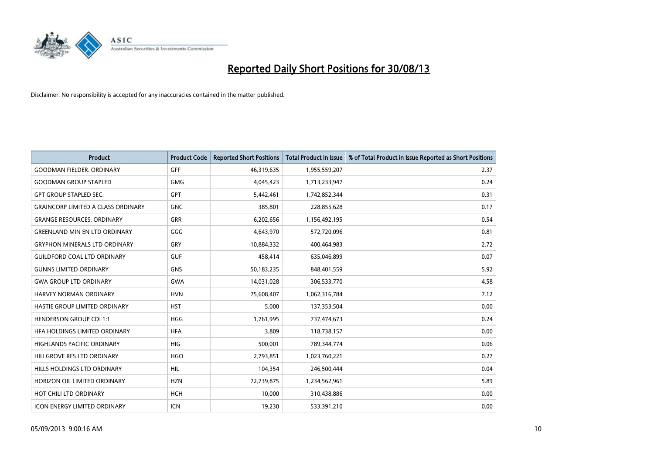

| <b>Product</b>                            | <b>Product Code</b> | <b>Reported Short Positions</b> | <b>Total Product in Issue</b> | % of Total Product in Issue Reported as Short Positions |
|-------------------------------------------|---------------------|---------------------------------|-------------------------------|---------------------------------------------------------|
| <b>GOODMAN FIELDER, ORDINARY</b>          | <b>GFF</b>          | 46,319,635                      | 1,955,559,207                 | 2.37                                                    |
| <b>GOODMAN GROUP STAPLED</b>              | <b>GMG</b>          | 4,045,423                       | 1,713,233,947                 | 0.24                                                    |
| <b>GPT GROUP STAPLED SEC.</b>             | <b>GPT</b>          | 5,442,461                       | 1,742,852,344                 | 0.31                                                    |
| <b>GRAINCORP LIMITED A CLASS ORDINARY</b> | <b>GNC</b>          | 385,801                         | 228,855,628                   | 0.17                                                    |
| <b>GRANGE RESOURCES, ORDINARY</b>         | <b>GRR</b>          | 6,202,656                       | 1,156,492,195                 | 0.54                                                    |
| <b>GREENLAND MIN EN LTD ORDINARY</b>      | GGG                 | 4,643,970                       | 572,720,096                   | 0.81                                                    |
| <b>GRYPHON MINERALS LTD ORDINARY</b>      | GRY                 | 10,884,332                      | 400,464,983                   | 2.72                                                    |
| <b>GUILDFORD COAL LTD ORDINARY</b>        | <b>GUF</b>          | 458,414                         | 635,046,899                   | 0.07                                                    |
| <b>GUNNS LIMITED ORDINARY</b>             | <b>GNS</b>          | 50,183,235                      | 848,401,559                   | 5.92                                                    |
| <b>GWA GROUP LTD ORDINARY</b>             | <b>GWA</b>          | 14,031,028                      | 306,533,770                   | 4.58                                                    |
| <b>HARVEY NORMAN ORDINARY</b>             | <b>HVN</b>          | 75,608,407                      | 1,062,316,784                 | 7.12                                                    |
| HASTIE GROUP LIMITED ORDINARY             | <b>HST</b>          | 5,000                           | 137,353,504                   | 0.00                                                    |
| <b>HENDERSON GROUP CDI 1:1</b>            | <b>HGG</b>          | 1,761,995                       | 737,474,673                   | 0.24                                                    |
| HFA HOLDINGS LIMITED ORDINARY             | <b>HFA</b>          | 3,809                           | 118,738,157                   | 0.00                                                    |
| <b>HIGHLANDS PACIFIC ORDINARY</b>         | <b>HIG</b>          | 500,001                         | 789,344,774                   | 0.06                                                    |
| HILLGROVE RES LTD ORDINARY                | <b>HGO</b>          | 2,793,851                       | 1,023,760,221                 | 0.27                                                    |
| HILLS HOLDINGS LTD ORDINARY               | <b>HIL</b>          | 104,354                         | 246,500,444                   | 0.04                                                    |
| HORIZON OIL LIMITED ORDINARY              | <b>HZN</b>          | 72,739,875                      | 1,234,562,961                 | 5.89                                                    |
| HOT CHILI LTD ORDINARY                    | <b>HCH</b>          | 10,000                          | 310,438,886                   | 0.00                                                    |
| <b>ICON ENERGY LIMITED ORDINARY</b>       | <b>ICN</b>          | 19,230                          | 533,391,210                   | 0.00                                                    |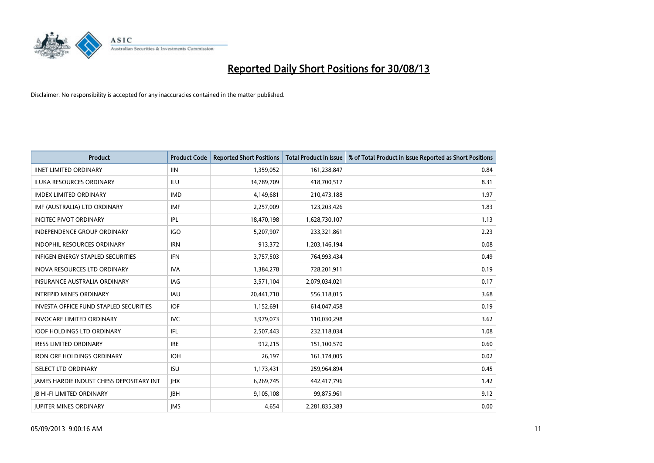

| <b>Product</b>                                | <b>Product Code</b> | <b>Reported Short Positions</b> | <b>Total Product in Issue</b> | % of Total Product in Issue Reported as Short Positions |
|-----------------------------------------------|---------------------|---------------------------------|-------------------------------|---------------------------------------------------------|
| <b>IINET LIMITED ORDINARY</b>                 | <b>IIN</b>          | 1,359,052                       | 161,238,847                   | 0.84                                                    |
| ILUKA RESOURCES ORDINARY                      | ILU                 | 34,789,709                      | 418,700,517                   | 8.31                                                    |
| <b>IMDEX LIMITED ORDINARY</b>                 | <b>IMD</b>          | 4,149,681                       | 210,473,188                   | 1.97                                                    |
| IMF (AUSTRALIA) LTD ORDINARY                  | <b>IMF</b>          | 2,257,009                       | 123,203,426                   | 1.83                                                    |
| <b>INCITEC PIVOT ORDINARY</b>                 | IPL                 | 18,470,198                      | 1,628,730,107                 | 1.13                                                    |
| <b>INDEPENDENCE GROUP ORDINARY</b>            | <b>IGO</b>          | 5,207,907                       | 233,321,861                   | 2.23                                                    |
| <b>INDOPHIL RESOURCES ORDINARY</b>            | <b>IRN</b>          | 913,372                         | 1,203,146,194                 | 0.08                                                    |
| INFIGEN ENERGY STAPLED SECURITIES             | <b>IFN</b>          | 3,757,503                       | 764,993,434                   | 0.49                                                    |
| INOVA RESOURCES LTD ORDINARY                  | <b>IVA</b>          | 1,384,278                       | 728,201,911                   | 0.19                                                    |
| <b>INSURANCE AUSTRALIA ORDINARY</b>           | <b>IAG</b>          | 3,571,104                       | 2,079,034,021                 | 0.17                                                    |
| <b>INTREPID MINES ORDINARY</b>                | <b>IAU</b>          | 20,441,710                      | 556,118,015                   | 3.68                                                    |
| <b>INVESTA OFFICE FUND STAPLED SECURITIES</b> | <b>IOF</b>          | 1,152,691                       | 614,047,458                   | 0.19                                                    |
| INVOCARE LIMITED ORDINARY                     | <b>IVC</b>          | 3,979,073                       | 110,030,298                   | 3.62                                                    |
| <b>IOOF HOLDINGS LTD ORDINARY</b>             | <b>IFL</b>          | 2,507,443                       | 232,118,034                   | 1.08                                                    |
| <b>IRESS LIMITED ORDINARY</b>                 | <b>IRE</b>          | 912,215                         | 151,100,570                   | 0.60                                                    |
| <b>IRON ORE HOLDINGS ORDINARY</b>             | <b>IOH</b>          | 26,197                          | 161,174,005                   | 0.02                                                    |
| <b>ISELECT LTD ORDINARY</b>                   | <b>ISU</b>          | 1,173,431                       | 259,964,894                   | 0.45                                                    |
| JAMES HARDIE INDUST CHESS DEPOSITARY INT      | <b>IHX</b>          | 6,269,745                       | 442,417,796                   | 1.42                                                    |
| <b>IB HI-FI LIMITED ORDINARY</b>              | <b>IBH</b>          | 9,105,108                       | 99,875,961                    | 9.12                                                    |
| <b>JUPITER MINES ORDINARY</b>                 | <b>IMS</b>          | 4.654                           | 2,281,835,383                 | 0.00                                                    |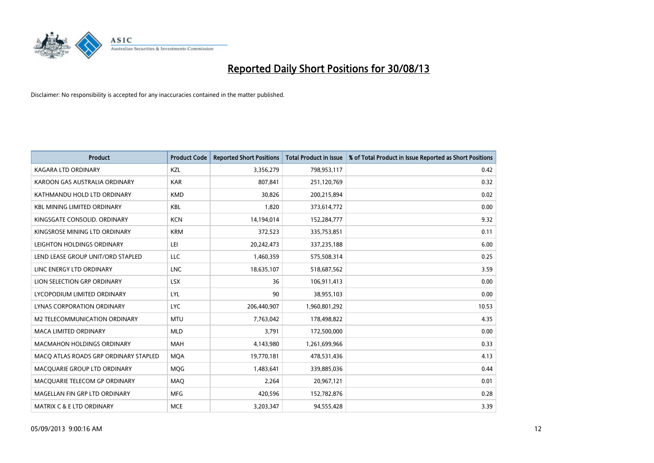

| <b>Product</b>                        | <b>Product Code</b> | <b>Reported Short Positions</b> | <b>Total Product in Issue</b> | % of Total Product in Issue Reported as Short Positions |
|---------------------------------------|---------------------|---------------------------------|-------------------------------|---------------------------------------------------------|
| <b>KAGARA LTD ORDINARY</b>            | <b>KZL</b>          | 3,356,279                       | 798,953,117                   | 0.42                                                    |
| KAROON GAS AUSTRALIA ORDINARY         | <b>KAR</b>          | 807,841                         | 251,120,769                   | 0.32                                                    |
| KATHMANDU HOLD LTD ORDINARY           | <b>KMD</b>          | 30,826                          | 200,215,894                   | 0.02                                                    |
| <b>KBL MINING LIMITED ORDINARY</b>    | <b>KBL</b>          | 1,820                           | 373,614,772                   | 0.00                                                    |
| KINGSGATE CONSOLID, ORDINARY          | <b>KCN</b>          | 14,194,014                      | 152,284,777                   | 9.32                                                    |
| KINGSROSE MINING LTD ORDINARY         | <b>KRM</b>          | 372,523                         | 335,753,851                   | 0.11                                                    |
| LEIGHTON HOLDINGS ORDINARY            | LEI                 | 20,242,473                      | 337,235,188                   | 6.00                                                    |
| LEND LEASE GROUP UNIT/ORD STAPLED     | LLC                 | 1,460,359                       | 575,508,314                   | 0.25                                                    |
| LINC ENERGY LTD ORDINARY              | <b>LNC</b>          | 18,635,107                      | 518,687,562                   | 3.59                                                    |
| LION SELECTION GRP ORDINARY           | <b>LSX</b>          | 36                              | 106,911,413                   | 0.00                                                    |
| LYCOPODIUM LIMITED ORDINARY           | LYL                 | 90                              | 38,955,103                    | 0.00                                                    |
| <b>LYNAS CORPORATION ORDINARY</b>     | <b>LYC</b>          | 206,440,907                     | 1,960,801,292                 | 10.53                                                   |
| M2 TELECOMMUNICATION ORDINARY         | <b>MTU</b>          | 7,763,042                       | 178,498,822                   | 4.35                                                    |
| <b>MACA LIMITED ORDINARY</b>          | <b>MLD</b>          | 3,791                           | 172,500,000                   | 0.00                                                    |
| <b>MACMAHON HOLDINGS ORDINARY</b>     | <b>MAH</b>          | 4,143,980                       | 1,261,699,966                 | 0.33                                                    |
| MACQ ATLAS ROADS GRP ORDINARY STAPLED | <b>MOA</b>          | 19,770,181                      | 478,531,436                   | 4.13                                                    |
| MACQUARIE GROUP LTD ORDINARY          | <b>MOG</b>          | 1,483,641                       | 339,885,036                   | 0.44                                                    |
| MACQUARIE TELECOM GP ORDINARY         | <b>MAQ</b>          | 2,264                           | 20,967,121                    | 0.01                                                    |
| MAGELLAN FIN GRP LTD ORDINARY         | <b>MFG</b>          | 420,596                         | 152,782,876                   | 0.28                                                    |
| MATRIX C & E LTD ORDINARY             | <b>MCE</b>          | 3,203,347                       | 94,555,428                    | 3.39                                                    |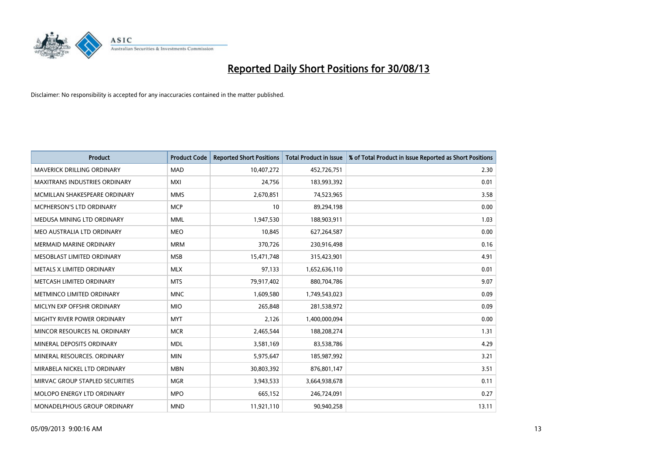

| <b>Product</b>                  | <b>Product Code</b> | <b>Reported Short Positions</b> | <b>Total Product in Issue</b> | % of Total Product in Issue Reported as Short Positions |
|---------------------------------|---------------------|---------------------------------|-------------------------------|---------------------------------------------------------|
| MAVERICK DRILLING ORDINARY      | <b>MAD</b>          | 10,407,272                      | 452,726,751                   | 2.30                                                    |
| MAXITRANS INDUSTRIES ORDINARY   | <b>MXI</b>          | 24,756                          | 183,993,392                   | 0.01                                                    |
| MCMILLAN SHAKESPEARE ORDINARY   | <b>MMS</b>          | 2,670,851                       | 74,523,965                    | 3.58                                                    |
| MCPHERSON'S LTD ORDINARY        | <b>MCP</b>          | 10                              | 89,294,198                    | 0.00                                                    |
| MEDUSA MINING LTD ORDINARY      | <b>MML</b>          | 1,947,530                       | 188,903,911                   | 1.03                                                    |
| MEO AUSTRALIA LTD ORDINARY      | <b>MEO</b>          | 10,845                          | 627,264,587                   | 0.00                                                    |
| <b>MERMAID MARINE ORDINARY</b>  | <b>MRM</b>          | 370,726                         | 230,916,498                   | 0.16                                                    |
| MESOBLAST LIMITED ORDINARY      | <b>MSB</b>          | 15,471,748                      | 315,423,901                   | 4.91                                                    |
| METALS X LIMITED ORDINARY       | <b>MLX</b>          | 97,133                          | 1,652,636,110                 | 0.01                                                    |
| METCASH LIMITED ORDINARY        | <b>MTS</b>          | 79,917,402                      | 880,704,786                   | 9.07                                                    |
| METMINCO LIMITED ORDINARY       | <b>MNC</b>          | 1,609,580                       | 1,749,543,023                 | 0.09                                                    |
| MICLYN EXP OFFSHR ORDINARY      | <b>MIO</b>          | 265,848                         | 281,538,972                   | 0.09                                                    |
| MIGHTY RIVER POWER ORDINARY     | <b>MYT</b>          | 2,126                           | 1,400,000,094                 | 0.00                                                    |
| MINCOR RESOURCES NL ORDINARY    | <b>MCR</b>          | 2,465,544                       | 188,208,274                   | 1.31                                                    |
| MINERAL DEPOSITS ORDINARY       | <b>MDL</b>          | 3,581,169                       | 83,538,786                    | 4.29                                                    |
| MINERAL RESOURCES. ORDINARY     | <b>MIN</b>          | 5,975,647                       | 185,987,992                   | 3.21                                                    |
| MIRABELA NICKEL LTD ORDINARY    | <b>MBN</b>          | 30,803,392                      | 876,801,147                   | 3.51                                                    |
| MIRVAC GROUP STAPLED SECURITIES | <b>MGR</b>          | 3,943,533                       | 3,664,938,678                 | 0.11                                                    |
| MOLOPO ENERGY LTD ORDINARY      | <b>MPO</b>          | 665,152                         | 246,724,091                   | 0.27                                                    |
| MONADELPHOUS GROUP ORDINARY     | <b>MND</b>          | 11,921,110                      | 90,940,258                    | 13.11                                                   |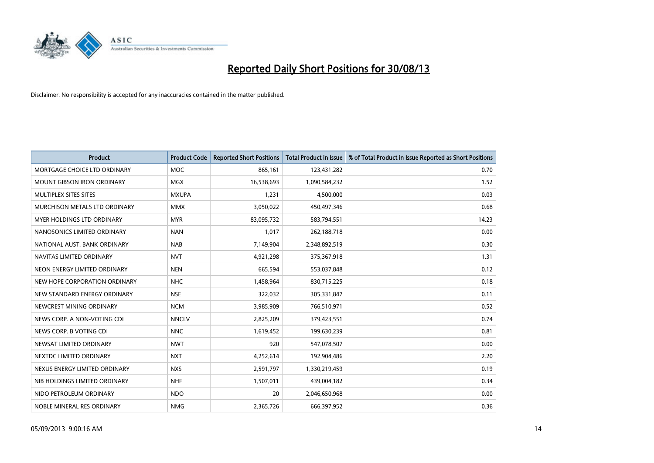

| <b>Product</b>                    | <b>Product Code</b> | <b>Reported Short Positions</b> | <b>Total Product in Issue</b> | % of Total Product in Issue Reported as Short Positions |
|-----------------------------------|---------------------|---------------------------------|-------------------------------|---------------------------------------------------------|
| MORTGAGE CHOICE LTD ORDINARY      | <b>MOC</b>          | 865,161                         | 123,431,282                   | 0.70                                                    |
| MOUNT GIBSON IRON ORDINARY        | <b>MGX</b>          | 16,538,693                      | 1,090,584,232                 | 1.52                                                    |
| <b>MULTIPLEX SITES SITES</b>      | <b>MXUPA</b>        | 1,231                           | 4,500,000                     | 0.03                                                    |
| MURCHISON METALS LTD ORDINARY     | <b>MMX</b>          | 3,050,022                       | 450,497,346                   | 0.68                                                    |
| <b>MYER HOLDINGS LTD ORDINARY</b> | <b>MYR</b>          | 83,095,732                      | 583,794,551                   | 14.23                                                   |
| NANOSONICS LIMITED ORDINARY       | <b>NAN</b>          | 1,017                           | 262,188,718                   | 0.00                                                    |
| NATIONAL AUST. BANK ORDINARY      | <b>NAB</b>          | 7,149,904                       | 2,348,892,519                 | 0.30                                                    |
| NAVITAS LIMITED ORDINARY          | <b>NVT</b>          | 4,921,298                       | 375,367,918                   | 1.31                                                    |
| NEON ENERGY LIMITED ORDINARY      | <b>NEN</b>          | 665,594                         | 553,037,848                   | 0.12                                                    |
| NEW HOPE CORPORATION ORDINARY     | NHC                 | 1,458,964                       | 830,715,225                   | 0.18                                                    |
| NEW STANDARD ENERGY ORDINARY      | <b>NSE</b>          | 322,032                         | 305,331,847                   | 0.11                                                    |
| NEWCREST MINING ORDINARY          | <b>NCM</b>          | 3,985,909                       | 766,510,971                   | 0.52                                                    |
| NEWS CORP. A NON-VOTING CDI       | <b>NNCLV</b>        | 2,825,209                       | 379,423,551                   | 0.74                                                    |
| NEWS CORP. B VOTING CDI           | <b>NNC</b>          | 1,619,452                       | 199,630,239                   | 0.81                                                    |
| NEWSAT LIMITED ORDINARY           | <b>NWT</b>          | 920                             | 547,078,507                   | 0.00                                                    |
| NEXTDC LIMITED ORDINARY           | <b>NXT</b>          | 4,252,614                       | 192,904,486                   | 2.20                                                    |
| NEXUS ENERGY LIMITED ORDINARY     | <b>NXS</b>          | 2,591,797                       | 1,330,219,459                 | 0.19                                                    |
| NIB HOLDINGS LIMITED ORDINARY     | <b>NHF</b>          | 1,507,011                       | 439,004,182                   | 0.34                                                    |
| NIDO PETROLEUM ORDINARY           | <b>NDO</b>          | 20                              | 2,046,650,968                 | 0.00                                                    |
| NOBLE MINERAL RES ORDINARY        | <b>NMG</b>          | 2,365,726                       | 666,397,952                   | 0.36                                                    |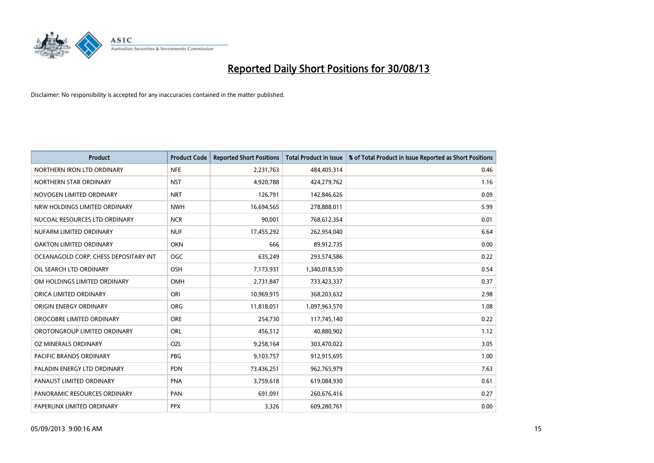

| <b>Product</b>                        | <b>Product Code</b> | <b>Reported Short Positions</b> | <b>Total Product in Issue</b> | % of Total Product in Issue Reported as Short Positions |
|---------------------------------------|---------------------|---------------------------------|-------------------------------|---------------------------------------------------------|
| NORTHERN IRON LTD ORDINARY            | <b>NFE</b>          | 2,231,763                       | 484,405,314                   | 0.46                                                    |
| NORTHERN STAR ORDINARY                | <b>NST</b>          | 4,920,788                       | 424,279,762                   | 1.16                                                    |
| NOVOGEN LIMITED ORDINARY              | <b>NRT</b>          | 126,791                         | 142,846,626                   | 0.09                                                    |
| NRW HOLDINGS LIMITED ORDINARY         | <b>NWH</b>          | 16,694,565                      | 278,888,011                   | 5.99                                                    |
| NUCOAL RESOURCES LTD ORDINARY         | <b>NCR</b>          | 90,001                          | 768,612,354                   | 0.01                                                    |
| NUFARM LIMITED ORDINARY               | <b>NUF</b>          | 17,455,292                      | 262,954,040                   | 6.64                                                    |
| <b>OAKTON LIMITED ORDINARY</b>        | <b>OKN</b>          | 666                             | 89,912,735                    | 0.00                                                    |
| OCEANAGOLD CORP. CHESS DEPOSITARY INT | <b>OGC</b>          | 635,249                         | 293,574,586                   | 0.22                                                    |
| OIL SEARCH LTD ORDINARY               | <b>OSH</b>          | 7,173,931                       | 1,340,018,530                 | 0.54                                                    |
| OM HOLDINGS LIMITED ORDINARY          | <b>OMH</b>          | 2,731,847                       | 733,423,337                   | 0.37                                                    |
| ORICA LIMITED ORDINARY                | ORI                 | 10,969,915                      | 368,203,632                   | 2.98                                                    |
| ORIGIN ENERGY ORDINARY                | <b>ORG</b>          | 11,818,051                      | 1,097,963,570                 | 1.08                                                    |
| OROCOBRE LIMITED ORDINARY             | <b>ORE</b>          | 254,730                         | 117,745,140                   | 0.22                                                    |
| OROTONGROUP LIMITED ORDINARY          | ORL                 | 456,512                         | 40,880,902                    | 1.12                                                    |
| OZ MINERALS ORDINARY                  | OZL                 | 9,258,164                       | 303,470,022                   | 3.05                                                    |
| PACIFIC BRANDS ORDINARY               | <b>PBG</b>          | 9,103,757                       | 912,915,695                   | 1.00                                                    |
| PALADIN ENERGY LTD ORDINARY           | <b>PDN</b>          | 73,436,251                      | 962,765,979                   | 7.63                                                    |
| PANAUST LIMITED ORDINARY              | <b>PNA</b>          | 3,759,618                       | 619,084,930                   | 0.61                                                    |
| PANORAMIC RESOURCES ORDINARY          | PAN                 | 691,091                         | 260,676,416                   | 0.27                                                    |
| PAPERLINX LIMITED ORDINARY            | <b>PPX</b>          | 3,326                           | 609,280,761                   | 0.00                                                    |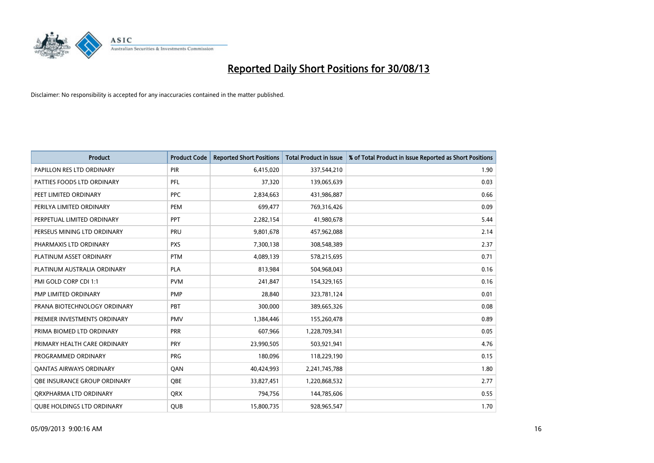

| <b>Product</b>                      | <b>Product Code</b> | <b>Reported Short Positions</b> | <b>Total Product in Issue</b> | % of Total Product in Issue Reported as Short Positions |
|-------------------------------------|---------------------|---------------------------------|-------------------------------|---------------------------------------------------------|
| PAPILLON RES LTD ORDINARY           | <b>PIR</b>          | 6,415,020                       | 337,544,210                   | 1.90                                                    |
| PATTIES FOODS LTD ORDINARY          | PFL                 | 37,320                          | 139,065,639                   | 0.03                                                    |
| PEET LIMITED ORDINARY               | <b>PPC</b>          | 2,834,663                       | 431,986,887                   | 0.66                                                    |
| PERILYA LIMITED ORDINARY            | PEM                 | 699,477                         | 769,316,426                   | 0.09                                                    |
| PERPETUAL LIMITED ORDINARY          | <b>PPT</b>          | 2,282,154                       | 41,980,678                    | 5.44                                                    |
| PERSEUS MINING LTD ORDINARY         | PRU                 | 9,801,678                       | 457,962,088                   | 2.14                                                    |
| PHARMAXIS LTD ORDINARY              | <b>PXS</b>          | 7,300,138                       | 308,548,389                   | 2.37                                                    |
| PLATINUM ASSET ORDINARY             | <b>PTM</b>          | 4,089,139                       | 578,215,695                   | 0.71                                                    |
| PLATINUM AUSTRALIA ORDINARY         | <b>PLA</b>          | 813,984                         | 504,968,043                   | 0.16                                                    |
| PMI GOLD CORP CDI 1:1               | <b>PVM</b>          | 241,847                         | 154,329,165                   | 0.16                                                    |
| PMP LIMITED ORDINARY                | <b>PMP</b>          | 28,840                          | 323,781,124                   | 0.01                                                    |
| PRANA BIOTECHNOLOGY ORDINARY        | PBT                 | 300,000                         | 389,665,326                   | 0.08                                                    |
| PREMIER INVESTMENTS ORDINARY        | <b>PMV</b>          | 1,384,446                       | 155,260,478                   | 0.89                                                    |
| PRIMA BIOMED LTD ORDINARY           | PRR                 | 607,966                         | 1,228,709,341                 | 0.05                                                    |
| PRIMARY HEALTH CARE ORDINARY        | <b>PRY</b>          | 23,990,505                      | 503,921,941                   | 4.76                                                    |
| PROGRAMMED ORDINARY                 | <b>PRG</b>          | 180,096                         | 118,229,190                   | 0.15                                                    |
| <b>QANTAS AIRWAYS ORDINARY</b>      | QAN                 | 40,424,993                      | 2,241,745,788                 | 1.80                                                    |
| <b>OBE INSURANCE GROUP ORDINARY</b> | <b>OBE</b>          | 33,827,451                      | 1,220,868,532                 | 2.77                                                    |
| ORXPHARMA LTD ORDINARY              | <b>QRX</b>          | 794,756                         | 144,785,606                   | 0.55                                                    |
| <b>QUBE HOLDINGS LTD ORDINARY</b>   | QUB                 | 15,800,735                      | 928,965,547                   | 1.70                                                    |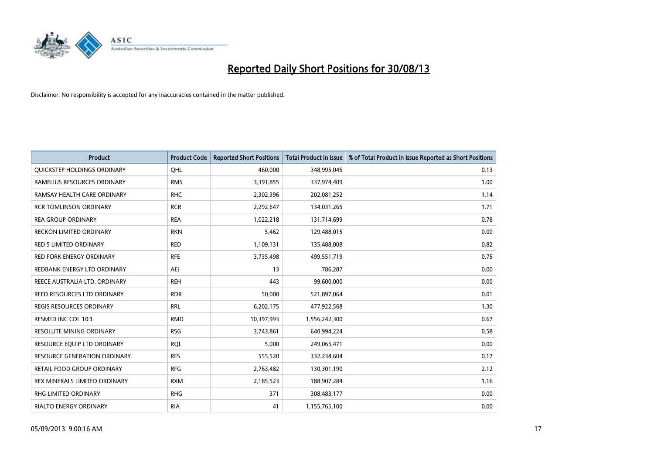

| <b>Product</b>                  | <b>Product Code</b> | <b>Reported Short Positions</b> | <b>Total Product in Issue</b> | % of Total Product in Issue Reported as Short Positions |
|---------------------------------|---------------------|---------------------------------|-------------------------------|---------------------------------------------------------|
| QUICKSTEP HOLDINGS ORDINARY     | OHL                 | 460.000                         | 348,995,045                   | 0.13                                                    |
| RAMELIUS RESOURCES ORDINARY     | <b>RMS</b>          | 3,391,855                       | 337,974,409                   | 1.00                                                    |
| RAMSAY HEALTH CARE ORDINARY     | <b>RHC</b>          | 2,302,396                       | 202,081,252                   | 1.14                                                    |
| <b>RCR TOMLINSON ORDINARY</b>   | <b>RCR</b>          | 2,292,647                       | 134,031,265                   | 1.71                                                    |
| <b>REA GROUP ORDINARY</b>       | <b>REA</b>          | 1,022,218                       | 131,714,699                   | 0.78                                                    |
| <b>RECKON LIMITED ORDINARY</b>  | <b>RKN</b>          | 5,462                           | 129,488,015                   | 0.00                                                    |
| RED 5 LIMITED ORDINARY          | <b>RED</b>          | 1,109,131                       | 135,488,008                   | 0.82                                                    |
| <b>RED FORK ENERGY ORDINARY</b> | <b>RFE</b>          | 3,735,498                       | 499,551,719                   | 0.75                                                    |
| REDBANK ENERGY LTD ORDINARY     | AEJ                 | 13                              | 786,287                       | 0.00                                                    |
| REECE AUSTRALIA LTD. ORDINARY   | <b>REH</b>          | 443                             | 99,600,000                    | 0.00                                                    |
| REED RESOURCES LTD ORDINARY     | <b>RDR</b>          | 50,000                          | 521,897,064                   | 0.01                                                    |
| REGIS RESOURCES ORDINARY        | <b>RRL</b>          | 6,202,175                       | 477,922,568                   | 1.30                                                    |
| RESMED INC CDI 10:1             | <b>RMD</b>          | 10,397,993                      | 1,556,242,300                 | 0.67                                                    |
| <b>RESOLUTE MINING ORDINARY</b> | <b>RSG</b>          | 3,743,861                       | 640,994,224                   | 0.58                                                    |
| RESOURCE EQUIP LTD ORDINARY     | <b>RQL</b>          | 5,000                           | 249,065,471                   | 0.00                                                    |
| RESOURCE GENERATION ORDINARY    | <b>RES</b>          | 555,520                         | 332,234,604                   | 0.17                                                    |
| RETAIL FOOD GROUP ORDINARY      | <b>RFG</b>          | 2,763,482                       | 130,301,190                   | 2.12                                                    |
| REX MINERALS LIMITED ORDINARY   | <b>RXM</b>          | 2,185,523                       | 188,907,284                   | 1.16                                                    |
| RHG LIMITED ORDINARY            | <b>RHG</b>          | 371                             | 308,483,177                   | 0.00                                                    |
| RIALTO ENERGY ORDINARY          | <b>RIA</b>          | 41                              | 1,155,765,100                 | 0.00                                                    |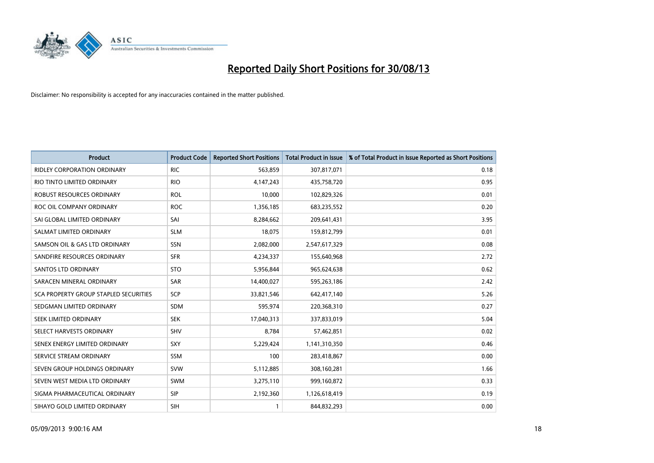

| <b>Product</b>                        | <b>Product Code</b> | <b>Reported Short Positions</b> | <b>Total Product in Issue</b> | % of Total Product in Issue Reported as Short Positions |
|---------------------------------------|---------------------|---------------------------------|-------------------------------|---------------------------------------------------------|
| <b>RIDLEY CORPORATION ORDINARY</b>    | <b>RIC</b>          | 563,859                         | 307,817,071                   | 0.18                                                    |
| RIO TINTO LIMITED ORDINARY            | <b>RIO</b>          | 4,147,243                       | 435,758,720                   | 0.95                                                    |
| ROBUST RESOURCES ORDINARY             | <b>ROL</b>          | 10,000                          | 102,829,326                   | 0.01                                                    |
| ROC OIL COMPANY ORDINARY              | <b>ROC</b>          | 1,356,185                       | 683,235,552                   | 0.20                                                    |
| SAI GLOBAL LIMITED ORDINARY           | SAI                 | 8,284,662                       | 209,641,431                   | 3.95                                                    |
| SALMAT LIMITED ORDINARY               | <b>SLM</b>          | 18,075                          | 159,812,799                   | 0.01                                                    |
| SAMSON OIL & GAS LTD ORDINARY         | SSN                 | 2,082,000                       | 2,547,617,329                 | 0.08                                                    |
| SANDFIRE RESOURCES ORDINARY           | <b>SFR</b>          | 4,234,337                       | 155,640,968                   | 2.72                                                    |
| <b>SANTOS LTD ORDINARY</b>            | <b>STO</b>          | 5,956,844                       | 965,624,638                   | 0.62                                                    |
| SARACEN MINERAL ORDINARY              | SAR                 | 14,400,027                      | 595,263,186                   | 2.42                                                    |
| SCA PROPERTY GROUP STAPLED SECURITIES | <b>SCP</b>          | 33,821,546                      | 642,417,140                   | 5.26                                                    |
| SEDGMAN LIMITED ORDINARY              | <b>SDM</b>          | 595,974                         | 220,368,310                   | 0.27                                                    |
| <b>SEEK LIMITED ORDINARY</b>          | <b>SEK</b>          | 17,040,313                      | 337,833,019                   | 5.04                                                    |
| SELECT HARVESTS ORDINARY              | SHV                 | 8,784                           | 57,462,851                    | 0.02                                                    |
| SENEX ENERGY LIMITED ORDINARY         | <b>SXY</b>          | 5,229,424                       | 1,141,310,350                 | 0.46                                                    |
| SERVICE STREAM ORDINARY               | <b>SSM</b>          | 100                             | 283,418,867                   | 0.00                                                    |
| SEVEN GROUP HOLDINGS ORDINARY         | <b>SVW</b>          | 5,112,885                       | 308,160,281                   | 1.66                                                    |
| SEVEN WEST MEDIA LTD ORDINARY         | <b>SWM</b>          | 3,275,110                       | 999,160,872                   | 0.33                                                    |
| SIGMA PHARMACEUTICAL ORDINARY         | <b>SIP</b>          | 2,192,360                       | 1,126,618,419                 | 0.19                                                    |
| SIHAYO GOLD LIMITED ORDINARY          | <b>SIH</b>          |                                 | 844,832,293                   | 0.00                                                    |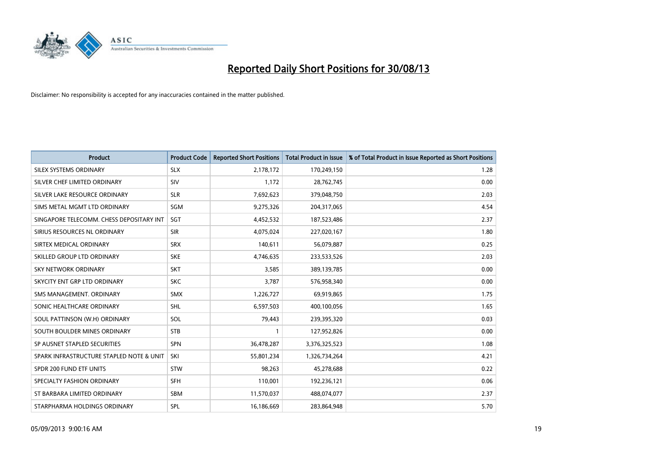

| <b>Product</b>                           | <b>Product Code</b> | <b>Reported Short Positions</b> | <b>Total Product in Issue</b> | % of Total Product in Issue Reported as Short Positions |
|------------------------------------------|---------------------|---------------------------------|-------------------------------|---------------------------------------------------------|
| SILEX SYSTEMS ORDINARY                   | <b>SLX</b>          | 2,178,172                       | 170,249,150                   | 1.28                                                    |
| SILVER CHEF LIMITED ORDINARY             | SIV                 | 1,172                           | 28,762,745                    | 0.00                                                    |
| SILVER LAKE RESOURCE ORDINARY            | <b>SLR</b>          | 7,692,623                       | 379,048,750                   | 2.03                                                    |
| SIMS METAL MGMT LTD ORDINARY             | SGM                 | 9,275,326                       | 204,317,065                   | 4.54                                                    |
| SINGAPORE TELECOMM. CHESS DEPOSITARY INT | SGT                 | 4,452,532                       | 187,523,486                   | 2.37                                                    |
| SIRIUS RESOURCES NL ORDINARY             | <b>SIR</b>          | 4,075,024                       | 227,020,167                   | 1.80                                                    |
| SIRTEX MEDICAL ORDINARY                  | <b>SRX</b>          | 140,611                         | 56,079,887                    | 0.25                                                    |
| SKILLED GROUP LTD ORDINARY               | <b>SKE</b>          | 4,746,635                       | 233,533,526                   | 2.03                                                    |
| <b>SKY NETWORK ORDINARY</b>              | <b>SKT</b>          | 3.585                           | 389,139,785                   | 0.00                                                    |
| SKYCITY ENT GRP LTD ORDINARY             | <b>SKC</b>          | 3,787                           | 576,958,340                   | 0.00                                                    |
| SMS MANAGEMENT. ORDINARY                 | <b>SMX</b>          | 1,226,727                       | 69,919,865                    | 1.75                                                    |
| SONIC HEALTHCARE ORDINARY                | <b>SHL</b>          | 6,597,503                       | 400,100,056                   | 1.65                                                    |
| SOUL PATTINSON (W.H) ORDINARY            | SOL                 | 79,443                          | 239,395,320                   | 0.03                                                    |
| SOUTH BOULDER MINES ORDINARY             | <b>STB</b>          |                                 | 127,952,826                   | 0.00                                                    |
| SP AUSNET STAPLED SECURITIES             | <b>SPN</b>          | 36,478,287                      | 3,376,325,523                 | 1.08                                                    |
| SPARK INFRASTRUCTURE STAPLED NOTE & UNIT | SKI                 | 55,801,234                      | 1,326,734,264                 | 4.21                                                    |
| SPDR 200 FUND ETF UNITS                  | <b>STW</b>          | 98,263                          | 45,278,688                    | 0.22                                                    |
| SPECIALTY FASHION ORDINARY               | <b>SFH</b>          | 110,001                         | 192,236,121                   | 0.06                                                    |
| ST BARBARA LIMITED ORDINARY              | <b>SBM</b>          | 11,570,037                      | 488,074,077                   | 2.37                                                    |
| STARPHARMA HOLDINGS ORDINARY             | SPL                 | 16,186,669                      | 283,864,948                   | 5.70                                                    |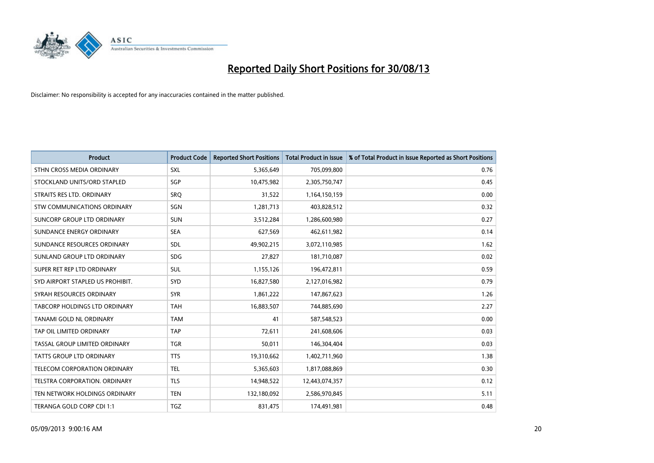

| <b>Product</b>                       | <b>Product Code</b> | <b>Reported Short Positions</b> | <b>Total Product in Issue</b> | % of Total Product in Issue Reported as Short Positions |
|--------------------------------------|---------------------|---------------------------------|-------------------------------|---------------------------------------------------------|
| STHN CROSS MEDIA ORDINARY            | <b>SXL</b>          | 5,365,649                       | 705,099,800                   | 0.76                                                    |
| STOCKLAND UNITS/ORD STAPLED          | SGP                 | 10,475,982                      | 2,305,750,747                 | 0.45                                                    |
| STRAITS RES LTD. ORDINARY            | SRO                 | 31,522                          | 1,164,150,159                 | 0.00                                                    |
| STW COMMUNICATIONS ORDINARY          | SGN                 | 1,281,713                       | 403,828,512                   | 0.32                                                    |
| SUNCORP GROUP LTD ORDINARY           | <b>SUN</b>          | 3,512,284                       | 1,286,600,980                 | 0.27                                                    |
| SUNDANCE ENERGY ORDINARY             | <b>SEA</b>          | 627,569                         | 462,611,982                   | 0.14                                                    |
| SUNDANCE RESOURCES ORDINARY          | <b>SDL</b>          | 49,902,215                      | 3,072,110,985                 | 1.62                                                    |
| SUNLAND GROUP LTD ORDINARY           | <b>SDG</b>          | 27,827                          | 181,710,087                   | 0.02                                                    |
| SUPER RET REP LTD ORDINARY           | <b>SUL</b>          | 1,155,126                       | 196,472,811                   | 0.59                                                    |
| SYD AIRPORT STAPLED US PROHIBIT.     | <b>SYD</b>          | 16,827,580                      | 2,127,016,982                 | 0.79                                                    |
| SYRAH RESOURCES ORDINARY             | <b>SYR</b>          | 1,861,222                       | 147,867,623                   | 1.26                                                    |
| <b>TABCORP HOLDINGS LTD ORDINARY</b> | <b>TAH</b>          | 16,883,507                      | 744,885,690                   | 2.27                                                    |
| TANAMI GOLD NL ORDINARY              | <b>TAM</b>          | 41                              | 587,548,523                   | 0.00                                                    |
| TAP OIL LIMITED ORDINARY             | <b>TAP</b>          | 72,611                          | 241,608,606                   | 0.03                                                    |
| TASSAL GROUP LIMITED ORDINARY        | <b>TGR</b>          | 50,011                          | 146,304,404                   | 0.03                                                    |
| TATTS GROUP LTD ORDINARY             | <b>TTS</b>          | 19,310,662                      | 1,402,711,960                 | 1.38                                                    |
| TELECOM CORPORATION ORDINARY         | <b>TEL</b>          | 5,365,603                       | 1,817,088,869                 | 0.30                                                    |
| TELSTRA CORPORATION. ORDINARY        | <b>TLS</b>          | 14,948,522                      | 12,443,074,357                | 0.12                                                    |
| TEN NETWORK HOLDINGS ORDINARY        | <b>TEN</b>          | 132,180,092                     | 2,586,970,845                 | 5.11                                                    |
| TERANGA GOLD CORP CDI 1:1            | <b>TGZ</b>          | 831,475                         | 174,491,981                   | 0.48                                                    |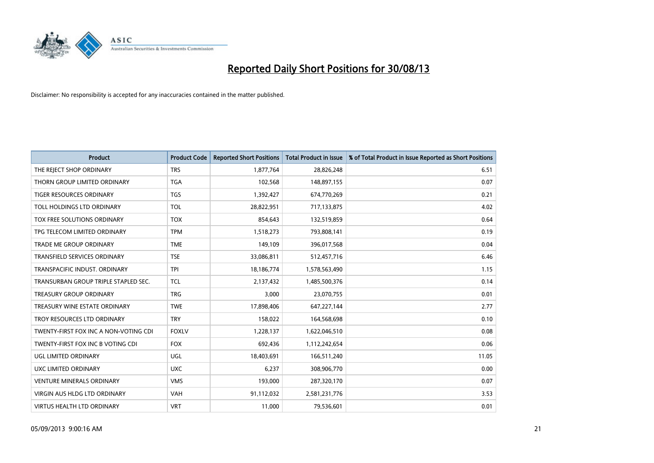

| <b>Product</b>                        | <b>Product Code</b> | <b>Reported Short Positions</b> | <b>Total Product in Issue</b> | % of Total Product in Issue Reported as Short Positions |
|---------------------------------------|---------------------|---------------------------------|-------------------------------|---------------------------------------------------------|
| THE REJECT SHOP ORDINARY              | <b>TRS</b>          | 1,877,764                       | 28,826,248                    | 6.51                                                    |
| THORN GROUP LIMITED ORDINARY          | <b>TGA</b>          | 102,568                         | 148,897,155                   | 0.07                                                    |
| <b>TIGER RESOURCES ORDINARY</b>       | <b>TGS</b>          | 1,392,427                       | 674,770,269                   | 0.21                                                    |
| TOLL HOLDINGS LTD ORDINARY            | <b>TOL</b>          | 28,822,951                      | 717,133,875                   | 4.02                                                    |
| TOX FREE SOLUTIONS ORDINARY           | <b>TOX</b>          | 854,643                         | 132,519,859                   | 0.64                                                    |
| TPG TELECOM LIMITED ORDINARY          | <b>TPM</b>          | 1,518,273                       | 793,808,141                   | 0.19                                                    |
| TRADE ME GROUP ORDINARY               | <b>TME</b>          | 149,109                         | 396,017,568                   | 0.04                                                    |
| TRANSFIELD SERVICES ORDINARY          | <b>TSE</b>          | 33,086,811                      | 512,457,716                   | 6.46                                                    |
| TRANSPACIFIC INDUST, ORDINARY         | <b>TPI</b>          | 18,186,774                      | 1,578,563,490                 | 1.15                                                    |
| TRANSURBAN GROUP TRIPLE STAPLED SEC.  | <b>TCL</b>          | 2,137,432                       | 1,485,500,376                 | 0.14                                                    |
| TREASURY GROUP ORDINARY               | <b>TRG</b>          | 3,000                           | 23,070,755                    | 0.01                                                    |
| TREASURY WINE ESTATE ORDINARY         | <b>TWE</b>          | 17,898,406                      | 647,227,144                   | 2.77                                                    |
| TROY RESOURCES LTD ORDINARY           | <b>TRY</b>          | 158,022                         | 164,568,698                   | 0.10                                                    |
| TWENTY-FIRST FOX INC A NON-VOTING CDI | <b>FOXLV</b>        | 1,228,137                       | 1,622,046,510                 | 0.08                                                    |
| TWENTY-FIRST FOX INC B VOTING CDI     | <b>FOX</b>          | 692,436                         | 1,112,242,654                 | 0.06                                                    |
| UGL LIMITED ORDINARY                  | UGL                 | 18,403,691                      | 166,511,240                   | 11.05                                                   |
| UXC LIMITED ORDINARY                  | <b>UXC</b>          | 6,237                           | 308,906,770                   | 0.00                                                    |
| VENTURE MINERALS ORDINARY             | <b>VMS</b>          | 193,000                         | 287,320,170                   | 0.07                                                    |
| <b>VIRGIN AUS HLDG LTD ORDINARY</b>   | <b>VAH</b>          | 91,112,032                      | 2,581,231,776                 | 3.53                                                    |
| <b>VIRTUS HEALTH LTD ORDINARY</b>     | <b>VRT</b>          | 11,000                          | 79,536,601                    | 0.01                                                    |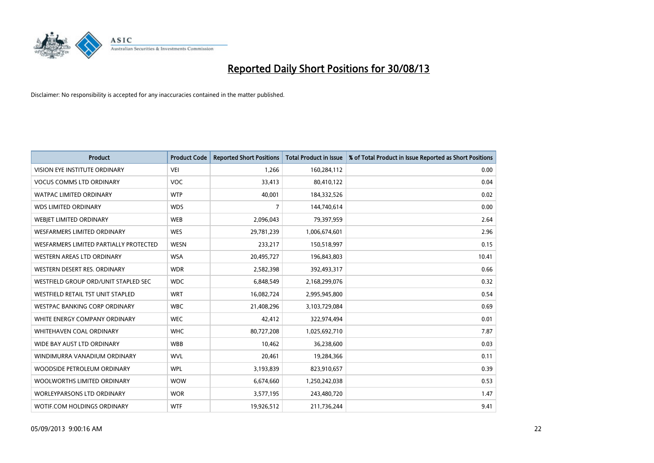

| <b>Product</b>                         | <b>Product Code</b> | <b>Reported Short Positions</b> | <b>Total Product in Issue</b> | % of Total Product in Issue Reported as Short Positions |
|----------------------------------------|---------------------|---------------------------------|-------------------------------|---------------------------------------------------------|
| <b>VISION EYE INSTITUTE ORDINARY</b>   | VEI                 | 1,266                           | 160,284,112                   | 0.00                                                    |
| <b>VOCUS COMMS LTD ORDINARY</b>        | <b>VOC</b>          | 33,413                          | 80,410,122                    | 0.04                                                    |
| <b>WATPAC LIMITED ORDINARY</b>         | <b>WTP</b>          | 40,001                          | 184,332,526                   | 0.02                                                    |
| <b>WDS LIMITED ORDINARY</b>            | <b>WDS</b>          | 7                               | 144,740,614                   | 0.00                                                    |
| WEBIET LIMITED ORDINARY                | <b>WEB</b>          | 2,096,043                       | 79,397,959                    | 2.64                                                    |
| <b>WESFARMERS LIMITED ORDINARY</b>     | <b>WES</b>          | 29,781,239                      | 1,006,674,601                 | 2.96                                                    |
| WESFARMERS LIMITED PARTIALLY PROTECTED | <b>WESN</b>         | 233,217                         | 150,518,997                   | 0.15                                                    |
| WESTERN AREAS LTD ORDINARY             | <b>WSA</b>          | 20,495,727                      | 196,843,803                   | 10.41                                                   |
| WESTERN DESERT RES. ORDINARY           | <b>WDR</b>          | 2,582,398                       | 392,493,317                   | 0.66                                                    |
| WESTFIELD GROUP ORD/UNIT STAPLED SEC   | <b>WDC</b>          | 6,848,549                       | 2,168,299,076                 | 0.32                                                    |
| WESTFIELD RETAIL TST UNIT STAPLED      | <b>WRT</b>          | 16,082,724                      | 2,995,945,800                 | 0.54                                                    |
| <b>WESTPAC BANKING CORP ORDINARY</b>   | <b>WBC</b>          | 21,408,296                      | 3,103,729,084                 | 0.69                                                    |
| WHITE ENERGY COMPANY ORDINARY          | <b>WEC</b>          | 42,412                          | 322,974,494                   | 0.01                                                    |
| <b>WHITEHAVEN COAL ORDINARY</b>        | <b>WHC</b>          | 80,727,208                      | 1,025,692,710                 | 7.87                                                    |
| WIDE BAY AUST LTD ORDINARY             | <b>WBB</b>          | 10,462                          | 36,238,600                    | 0.03                                                    |
| WINDIMURRA VANADIUM ORDINARY           | <b>WVL</b>          | 20,461                          | 19,284,366                    | 0.11                                                    |
| WOODSIDE PETROLEUM ORDINARY            | <b>WPL</b>          | 3,193,839                       | 823,910,657                   | 0.39                                                    |
| WOOLWORTHS LIMITED ORDINARY            | <b>WOW</b>          | 6,674,660                       | 1,250,242,038                 | 0.53                                                    |
| <b>WORLEYPARSONS LTD ORDINARY</b>      | <b>WOR</b>          | 3,577,195                       | 243,480,720                   | 1.47                                                    |
| WOTIF.COM HOLDINGS ORDINARY            | <b>WTF</b>          | 19,926,512                      | 211,736,244                   | 9.41                                                    |